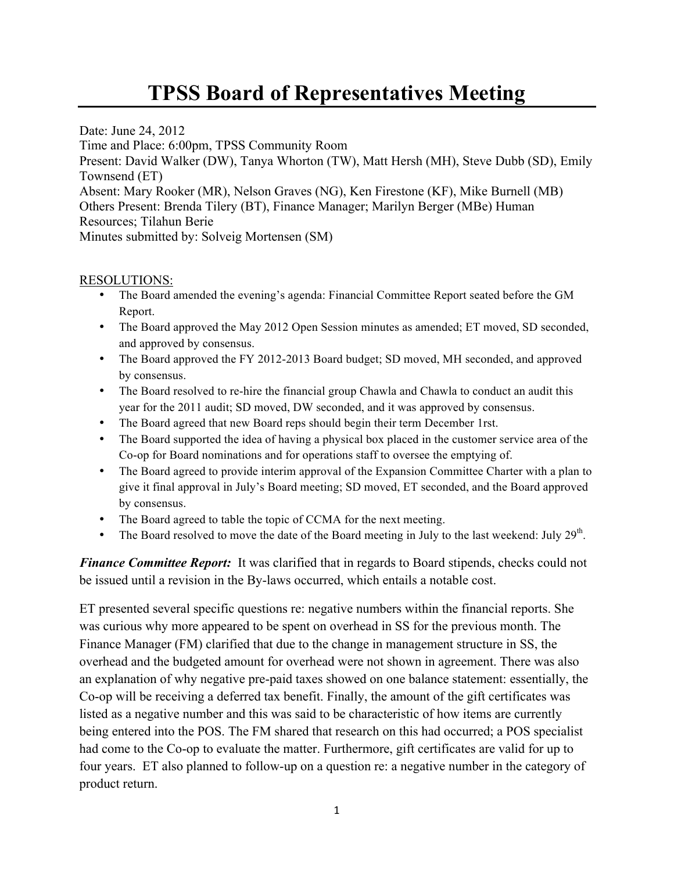## **TPSS Board of Representatives Meeting**

Date: June 24, 2012 Time and Place: 6:00pm, TPSS Community Room Present: David Walker (DW), Tanya Whorton (TW), Matt Hersh (MH), Steve Dubb (SD), Emily Townsend (ET) Absent: Mary Rooker (MR), Nelson Graves (NG), Ken Firestone (KF), Mike Burnell (MB) Others Present: Brenda Tilery (BT), Finance Manager; Marilyn Berger (MBe) Human Resources; Tilahun Berie Minutes submitted by: Solveig Mortensen (SM)

## RESOLUTIONS:

- The Board amended the evening's agenda: Financial Committee Report seated before the GM Report.
- The Board approved the May 2012 Open Session minutes as amended; ET moved, SD seconded, and approved by consensus.
- The Board approved the FY 2012-2013 Board budget; SD moved, MH seconded, and approved by consensus.
- The Board resolved to re-hire the financial group Chawla and Chawla to conduct an audit this year for the 2011 audit; SD moved, DW seconded, and it was approved by consensus.
- The Board agreed that new Board reps should begin their term December 1rst.
- The Board supported the idea of having a physical box placed in the customer service area of the Co-op for Board nominations and for operations staff to oversee the emptying of.
- The Board agreed to provide interim approval of the Expansion Committee Charter with a plan to give it final approval in July's Board meeting; SD moved, ET seconded, and the Board approved by consensus.
- The Board agreed to table the topic of CCMA for the next meeting.
- The Board resolved to move the date of the Board meeting in July to the last weekend: July  $29<sup>th</sup>$ .

*Finance Committee Report:* It was clarified that in regards to Board stipends, checks could not be issued until a revision in the By-laws occurred, which entails a notable cost.

ET presented several specific questions re: negative numbers within the financial reports. She was curious why more appeared to be spent on overhead in SS for the previous month. The Finance Manager (FM) clarified that due to the change in management structure in SS, the overhead and the budgeted amount for overhead were not shown in agreement. There was also an explanation of why negative pre-paid taxes showed on one balance statement: essentially, the Co-op will be receiving a deferred tax benefit. Finally, the amount of the gift certificates was listed as a negative number and this was said to be characteristic of how items are currently being entered into the POS. The FM shared that research on this had occurred; a POS specialist had come to the Co-op to evaluate the matter. Furthermore, gift certificates are valid for up to four years. ET also planned to follow-up on a question re: a negative number in the category of product return.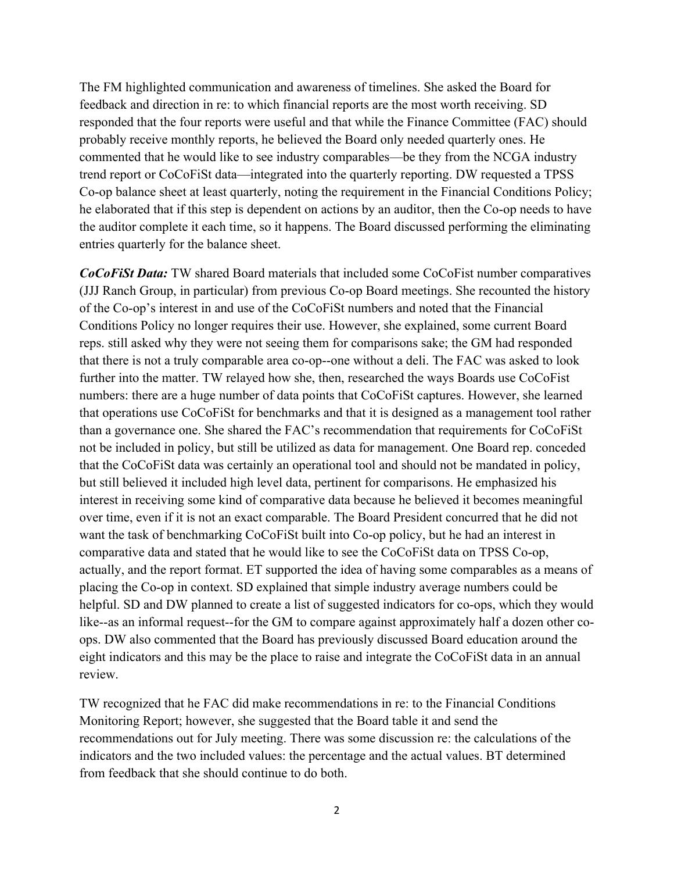The FM highlighted communication and awareness of timelines. She asked the Board for feedback and direction in re: to which financial reports are the most worth receiving. SD responded that the four reports were useful and that while the Finance Committee (FAC) should probably receive monthly reports, he believed the Board only needed quarterly ones. He commented that he would like to see industry comparables—be they from the NCGA industry trend report or CoCoFiSt data—integrated into the quarterly reporting. DW requested a TPSS Co-op balance sheet at least quarterly, noting the requirement in the Financial Conditions Policy; he elaborated that if this step is dependent on actions by an auditor, then the Co-op needs to have the auditor complete it each time, so it happens. The Board discussed performing the eliminating entries quarterly for the balance sheet.

*CoCoFiSt Data:* TW shared Board materials that included some CoCoFist number comparatives (JJJ Ranch Group, in particular) from previous Co-op Board meetings. She recounted the history of the Co-op's interest in and use of the CoCoFiSt numbers and noted that the Financial Conditions Policy no longer requires their use. However, she explained, some current Board reps. still asked why they were not seeing them for comparisons sake; the GM had responded that there is not a truly comparable area co-op--one without a deli. The FAC was asked to look further into the matter. TW relayed how she, then, researched the ways Boards use CoCoFist numbers: there are a huge number of data points that CoCoFiSt captures. However, she learned that operations use CoCoFiSt for benchmarks and that it is designed as a management tool rather than a governance one. She shared the FAC's recommendation that requirements for CoCoFiSt not be included in policy, but still be utilized as data for management. One Board rep. conceded that the CoCoFiSt data was certainly an operational tool and should not be mandated in policy, but still believed it included high level data, pertinent for comparisons. He emphasized his interest in receiving some kind of comparative data because he believed it becomes meaningful over time, even if it is not an exact comparable. The Board President concurred that he did not want the task of benchmarking CoCoFiSt built into Co-op policy, but he had an interest in comparative data and stated that he would like to see the CoCoFiSt data on TPSS Co-op, actually, and the report format. ET supported the idea of having some comparables as a means of placing the Co-op in context. SD explained that simple industry average numbers could be helpful. SD and DW planned to create a list of suggested indicators for co-ops, which they would like--as an informal request--for the GM to compare against approximately half a dozen other coops. DW also commented that the Board has previously discussed Board education around the eight indicators and this may be the place to raise and integrate the CoCoFiSt data in an annual review.

TW recognized that he FAC did make recommendations in re: to the Financial Conditions Monitoring Report; however, she suggested that the Board table it and send the recommendations out for July meeting. There was some discussion re: the calculations of the indicators and the two included values: the percentage and the actual values. BT determined from feedback that she should continue to do both.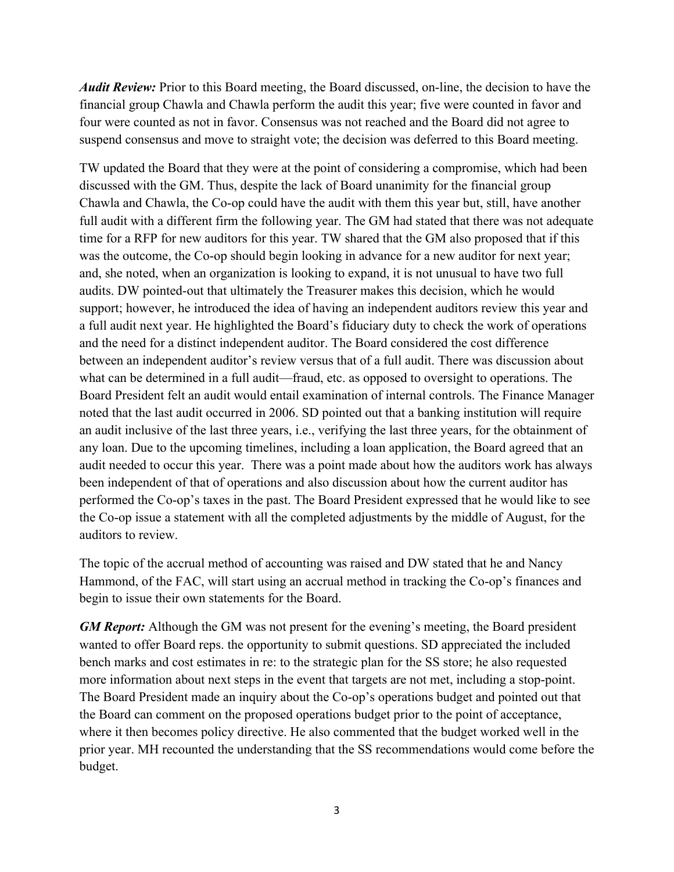*Audit Review:* Prior to this Board meeting, the Board discussed, on-line, the decision to have the financial group Chawla and Chawla perform the audit this year; five were counted in favor and four were counted as not in favor. Consensus was not reached and the Board did not agree to suspend consensus and move to straight vote; the decision was deferred to this Board meeting.

TW updated the Board that they were at the point of considering a compromise, which had been discussed with the GM. Thus, despite the lack of Board unanimity for the financial group Chawla and Chawla, the Co-op could have the audit with them this year but, still, have another full audit with a different firm the following year. The GM had stated that there was not adequate time for a RFP for new auditors for this year. TW shared that the GM also proposed that if this was the outcome, the Co-op should begin looking in advance for a new auditor for next year; and, she noted, when an organization is looking to expand, it is not unusual to have two full audits. DW pointed-out that ultimately the Treasurer makes this decision, which he would support; however, he introduced the idea of having an independent auditors review this year and a full audit next year. He highlighted the Board's fiduciary duty to check the work of operations and the need for a distinct independent auditor. The Board considered the cost difference between an independent auditor's review versus that of a full audit. There was discussion about what can be determined in a full audit—fraud, etc. as opposed to oversight to operations. The Board President felt an audit would entail examination of internal controls. The Finance Manager noted that the last audit occurred in 2006. SD pointed out that a banking institution will require an audit inclusive of the last three years, i.e., verifying the last three years, for the obtainment of any loan. Due to the upcoming timelines, including a loan application, the Board agreed that an audit needed to occur this year. There was a point made about how the auditors work has always been independent of that of operations and also discussion about how the current auditor has performed the Co-op's taxes in the past. The Board President expressed that he would like to see the Co-op issue a statement with all the completed adjustments by the middle of August, for the auditors to review.

The topic of the accrual method of accounting was raised and DW stated that he and Nancy Hammond, of the FAC, will start using an accrual method in tracking the Co-op's finances and begin to issue their own statements for the Board.

*GM Report:* Although the GM was not present for the evening's meeting, the Board president wanted to offer Board reps. the opportunity to submit questions. SD appreciated the included bench marks and cost estimates in re: to the strategic plan for the SS store; he also requested more information about next steps in the event that targets are not met, including a stop-point. The Board President made an inquiry about the Co-op's operations budget and pointed out that the Board can comment on the proposed operations budget prior to the point of acceptance, where it then becomes policy directive. He also commented that the budget worked well in the prior year. MH recounted the understanding that the SS recommendations would come before the budget.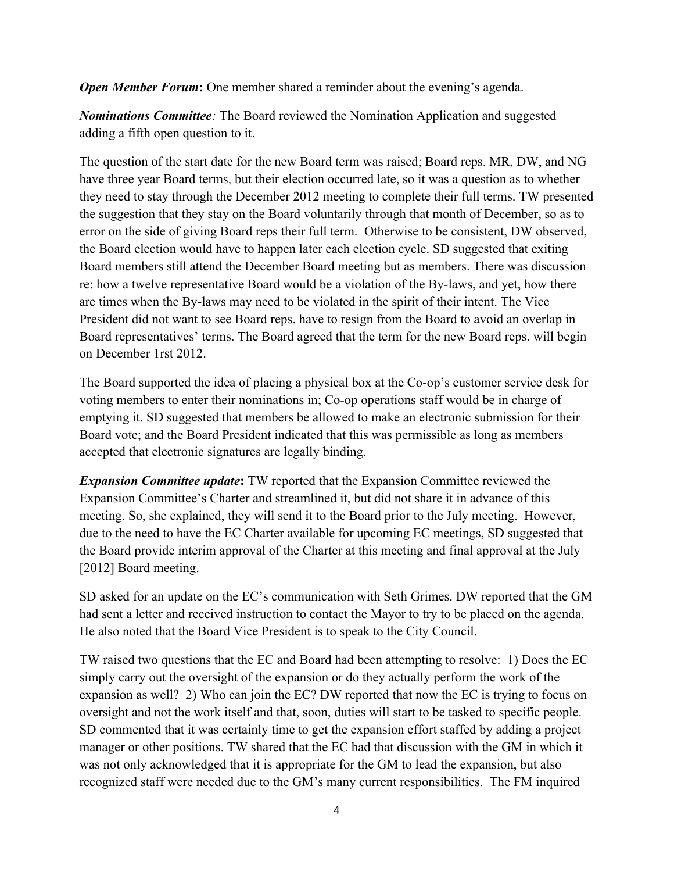*Open Member Forum:* One member shared a reminder about the evening's agenda.

*Nominations Committee:* The Board reviewed the Nomination Application and suggested adding a fifth open question to it.

The question of the start date for the new Board term was raised; Board reps. MR, DW, and NG have three year Board terms, but their election occurred late, so it was a question as to whether they need to stay through the December 2012 meeting to complete their full terms. TW presented the suggestion that they stay on the Board voluntarily through that month of December, so as to error on the side of giving Board reps their full term. Otherwise to be consistent, DW observed, the Board election would have to happen later each election cycle. SD suggested that exiting Board members still attend the December Board meeting but as members. There was discussion re: how a twelve representative Board would be a violation of the By-laws, and yet, how there are times when the By-laws may need to be violated in the spirit of their intent. The Vice President did not want to see Board reps. have to resign from the Board to avoid an overlap in Board representatives' terms. The Board agreed that the term for the new Board reps. will begin on December 1rst 2012.

The Board supported the idea of placing a physical box at the Co-op's customer service desk for voting members to enter their nominations in; Co-op operations staff would be in charge of emptying it. SD suggested that members be allowed to make an electronic submission for their Board vote; and the Board President indicated that this was permissible as long as members accepted that electronic signatures are legally binding.

*Expansion Committee update***:** TW reported that the Expansion Committee reviewed the Expansion Committee's Charter and streamlined it, but did not share it in advance of this meeting. So, she explained, they will send it to the Board prior to the July meeting. However, due to the need to have the EC Charter available for upcoming EC meetings, SD suggested that the Board provide interim approval of the Charter at this meeting and final approval at the July [2012] Board meeting.

SD asked for an update on the EC's communication with Seth Grimes. DW reported that the GM had sent a letter and received instruction to contact the Mayor to try to be placed on the agenda. He also noted that the Board Vice President is to speak to the City Council.

TW raised two questions that the EC and Board had been attempting to resolve: 1) Does the EC simply carry out the oversight of the expansion or do they actually perform the work of the expansion as well? 2) Who can join the EC? DW reported that now the EC is trying to focus on oversight and not the work itself and that, soon, duties will start to be tasked to specific people. SD commented that it was certainly time to get the expansion effort staffed by adding a project manager or other positions. TW shared that the EC had that discussion with the GM in which it was not only acknowledged that it is appropriate for the GM to lead the expansion, but also recognized staff were needed due to the GM's many current responsibilities. The FM inquired